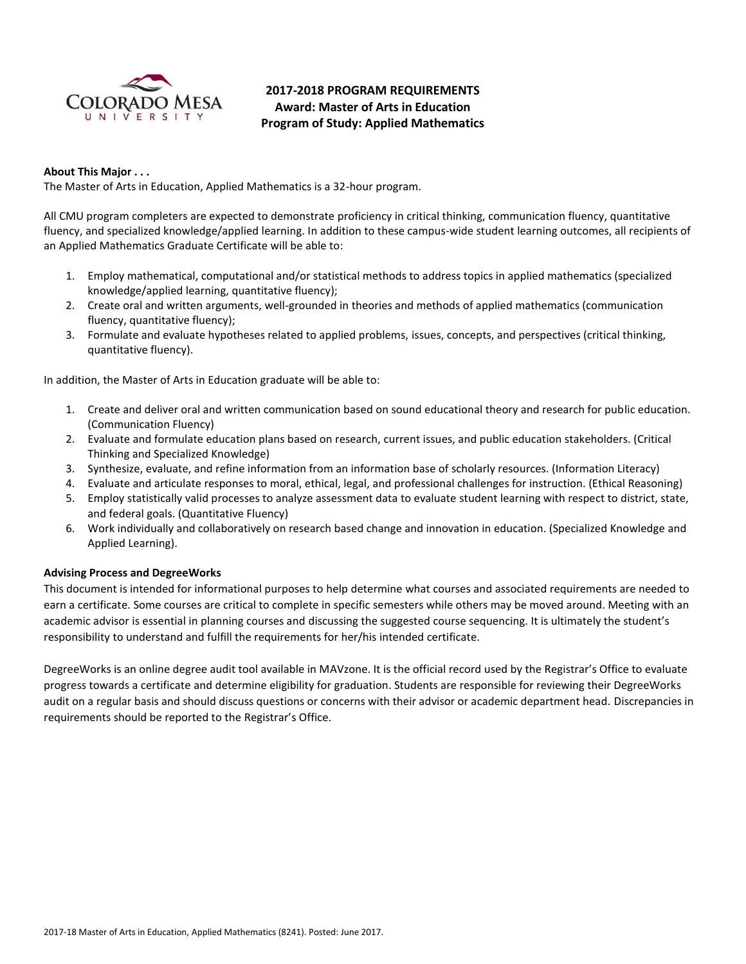

# **2017-2018 PROGRAM REQUIREMENTS Award: Master of Arts in Education Program of Study: Applied Mathematics**

# **About This Major . . .**

The Master of Arts in Education, Applied Mathematics is a 32-hour program.

All CMU program completers are expected to demonstrate proficiency in critical thinking, communication fluency, quantitative fluency, and specialized knowledge/applied learning. In addition to these campus-wide student learning outcomes, all recipients of an Applied Mathematics Graduate Certificate will be able to:

- 1. Employ mathematical, computational and/or statistical methods to address topics in applied mathematics (specialized knowledge/applied learning, quantitative fluency);
- 2. Create oral and written arguments, well-grounded in theories and methods of applied mathematics (communication fluency, quantitative fluency);
- 3. Formulate and evaluate hypotheses related to applied problems, issues, concepts, and perspectives (critical thinking, quantitative fluency).

In addition, the Master of Arts in Education graduate will be able to:

- 1. Create and deliver oral and written communication based on sound educational theory and research for public education. (Communication Fluency)
- 2. Evaluate and formulate education plans based on research, current issues, and public education stakeholders. (Critical Thinking and Specialized Knowledge)
- 3. Synthesize, evaluate, and refine information from an information base of scholarly resources. (Information Literacy)
- 4. Evaluate and articulate responses to moral, ethical, legal, and professional challenges for instruction. (Ethical Reasoning)
- 5. Employ statistically valid processes to analyze assessment data to evaluate student learning with respect to district, state, and federal goals. (Quantitative Fluency)
- 6. Work individually and collaboratively on research based change and innovation in education. (Specialized Knowledge and Applied Learning).

# **Advising Process and DegreeWorks**

This document is intended for informational purposes to help determine what courses and associated requirements are needed to earn a certificate. Some courses are critical to complete in specific semesters while others may be moved around. Meeting with an academic advisor is essential in planning courses and discussing the suggested course sequencing. It is ultimately the student's responsibility to understand and fulfill the requirements for her/his intended certificate.

DegreeWorks is an online degree audit tool available in MAVzone. It is the official record used by the Registrar's Office to evaluate progress towards a certificate and determine eligibility for graduation. Students are responsible for reviewing their DegreeWorks audit on a regular basis and should discuss questions or concerns with their advisor or academic department head. Discrepancies in requirements should be reported to the Registrar's Office.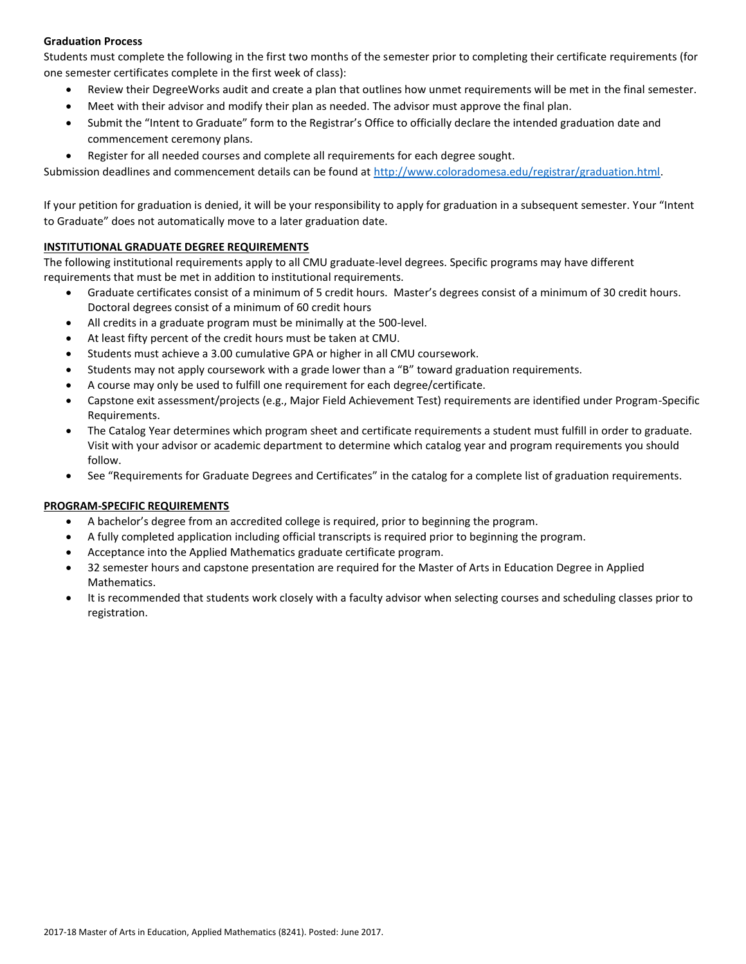# **Graduation Process**

Students must complete the following in the first two months of the semester prior to completing their certificate requirements (for one semester certificates complete in the first week of class):

- Review their DegreeWorks audit and create a plan that outlines how unmet requirements will be met in the final semester.
- Meet with their advisor and modify their plan as needed. The advisor must approve the final plan.
- Submit the "Intent to Graduate" form to the Registrar's Office to officially declare the intended graduation date and commencement ceremony plans.
- Register for all needed courses and complete all requirements for each degree sought.

Submission deadlines and commencement details can be found at [http://www.coloradomesa.edu/registrar/graduation.html.](http://www.coloradomesa.edu/registrar/graduation.html)

If your petition for graduation is denied, it will be your responsibility to apply for graduation in a subsequent semester. Your "Intent to Graduate" does not automatically move to a later graduation date.

# **INSTITUTIONAL GRADUATE DEGREE REQUIREMENTS**

The following institutional requirements apply to all CMU graduate-level degrees. Specific programs may have different requirements that must be met in addition to institutional requirements.

- Graduate certificates consist of a minimum of 5 credit hours. Master's degrees consist of a minimum of 30 credit hours. Doctoral degrees consist of a minimum of 60 credit hours
- All credits in a graduate program must be minimally at the 500-level.
- At least fifty percent of the credit hours must be taken at CMU.
- Students must achieve a 3.00 cumulative GPA or higher in all CMU coursework.
- Students may not apply coursework with a grade lower than a "B" toward graduation requirements.
- A course may only be used to fulfill one requirement for each degree/certificate.
- Capstone exit assessment/projects (e.g., Major Field Achievement Test) requirements are identified under Program-Specific Requirements.
- The Catalog Year determines which program sheet and certificate requirements a student must fulfill in order to graduate. Visit with your advisor or academic department to determine which catalog year and program requirements you should follow.
- See "Requirements for Graduate Degrees and Certificates" in the catalog for a complete list of graduation requirements.

# **PROGRAM-SPECIFIC REQUIREMENTS**

- A bachelor's degree from an accredited college is required, prior to beginning the program.
- A fully completed application including official transcripts is required prior to beginning the program.
- Acceptance into the Applied Mathematics graduate certificate program.
- 32 semester hours and capstone presentation are required for the Master of Arts in Education Degree in Applied Mathematics.
- It is recommended that students work closely with a faculty advisor when selecting courses and scheduling classes prior to registration.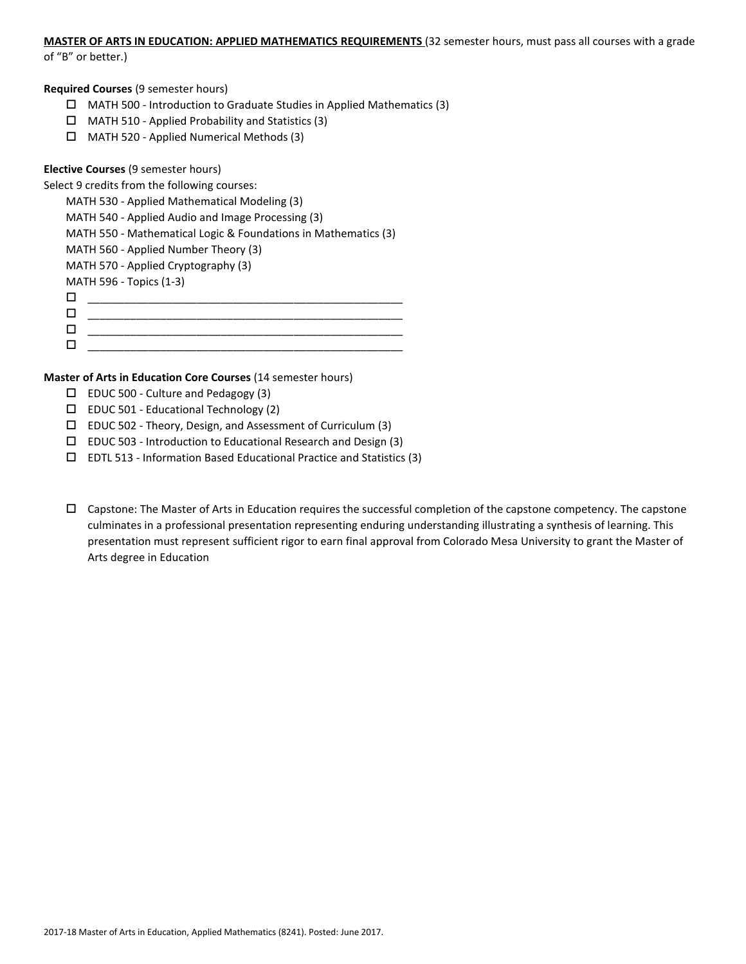## **MASTER OF ARTS IN EDUCATION: APPLIED MATHEMATICS REQUIREMENTS** (32 semester hours, must pass all courses with a grade

of "B" or better.)

## **Required Courses** (9 semester hours)

- $\Box$  MATH 500 Introduction to Graduate Studies in Applied Mathematics (3)
- $\Box$  MATH 510 Applied Probability and Statistics (3)
- MATH 520 Applied Numerical Methods (3)

## **Elective Courses** (9 semester hours)

Select 9 credits from the following courses:

MATH 530 - Applied Mathematical Modeling (3) MATH 540 - Applied Audio and Image Processing (3) MATH 550 - Mathematical Logic & Foundations in Mathematics (3) MATH 560 - Applied Number Theory (3) MATH 570 - Applied Cryptography (3) MATH 596 - Topics (1-3)  $\Box$  $\Box$  , and the contract of the contract of the contract of the contract of the contract of the contract of the contract of the contract of the contract of the contract of the contract of the contract of the contract of th \_\_\_\_\_\_\_\_\_\_\_\_\_\_\_\_\_\_\_\_\_\_\_\_\_\_\_\_\_\_\_\_\_\_\_\_\_\_\_\_\_\_\_\_\_\_\_\_\_\_\_\_ \_\_\_\_\_\_\_\_\_\_\_\_\_\_\_\_\_\_\_\_\_\_\_\_\_\_\_\_\_\_\_\_\_\_\_\_\_\_\_\_\_\_\_\_\_\_\_\_\_\_\_\_

## **Master of Arts in Education Core Courses** (14 semester hours)

- EDUC 500 Culture and Pedagogy (3)
- $\square$  EDUC 501 Educational Technology (2)
- EDUC 502 Theory, Design, and Assessment of Curriculum (3)
- $\square$  EDUC 503 Introduction to Educational Research and Design (3)
- $\square$  EDTL 513 Information Based Educational Practice and Statistics (3)
- $\Box$  Capstone: The Master of Arts in Education requires the successful completion of the capstone competency. The capstone culminates in a professional presentation representing enduring understanding illustrating a synthesis of learning. This presentation must represent sufficient rigor to earn final approval from Colorado Mesa University to grant the Master of Arts degree in Education